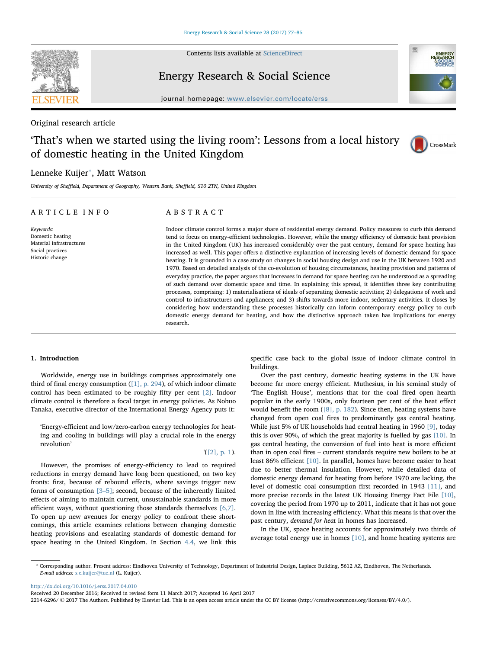

Contents lists available at [ScienceDirect](http://www.sciencedirect.com/science/journal/22146296)

Energy Research & Social Science



journal homepage: [www.elsevier.com/locate/erss](http://www.elsevier.com/locate/erss)

# Original research article

# 'That's when we started using the living room': Lessons from a local history of domestic heating in the United Kingdom



# Lenneke Kuijer<sup>\*</sup>, Matt Watson

University of Sheffield, Department of Geography, Western Bank, Sheffield, S10 2TN, United Kingdom

# ARTICLE INFO

Keywords: Domestic heating Material infrastructures Social practices Historic change

# ABSTRACT

Indoor climate control forms a major share of residential energy demand. Policy measures to curb this demand tend to focus on energy-efficient technologies. However, while the energy efficiency of domestic heat provision in the United Kingdom (UK) has increased considerably over the past century, demand for space heating has increased as well. This paper offers a distinctive explanation of increasing levels of domestic demand for space heating. It is grounded in a case study on changes in social housing design and use in the UK between 1920 and 1970. Based on detailed analysis of the co-evolution of housing circumstances, heating provision and patterns of everyday practice, the paper argues that increases in demand for space heating can be understood as a spreading of such demand over domestic space and time. In explaining this spread, it identifies three key contributing processes, comprising: 1) materialisations of ideals of separating domestic activities; 2) delegations of work and control to infrastructures and appliances; and 3) shifts towards more indoor, sedentary activities. It closes by considering how understanding these processes historically can inform contemporary energy policy to curb domestic energy demand for heating, and how the distinctive approach taken has implications for energy research.

# 1. Introduction

Worldwide, energy use in buildings comprises approximately one third of final energy consumption  $([1], p. 294)$ , of which indoor climate control has been estimated to be roughly fifty per cent [\[2\]](#page-7-1). Indoor climate control is therefore a focal target in energy policies. As Nobuo Tanaka, executive director of the International Energy Agency puts it:

'Energy-efficient and low/zero-carbon energy technologies for heating and cooling in buildings will play a crucial role in the energy revolution'

#### '[\(\[2\], p. 1](#page-7-1)).

However, the promises of energy-efficiency to lead to required reductions in energy demand have long been questioned, on two key fronts: first, because of rebound effects, where savings trigger new forms of consumption [\[3](#page-7-2)–5]; second, because of the inherently limited effects of aiming to maintain current, unsustainable standards in more efficient ways, without questioning those standards themselves [\[6,7\]](#page-7-3). To open up new avenues for energy policy to confront these shortcomings, this article examines relations between changing domestic heating provisions and escalating standards of domestic demand for space heating in the United Kingdom. In Section [4.4](#page-6-0), we link this specific case back to the global issue of indoor climate control in buildings.

Over the past century, domestic heating systems in the UK have become far more energy efficient. Muthesius, in his seminal study of 'The English House', mentions that for the coal fired open hearth popular in the early 1900s, only fourteen per cent of the heat effect would benefit the room [\(\[8\], p. 182\)](#page-7-4). Since then, heating systems have changed from open coal fires to predominantly gas central heating. While just 5% of UK households had central heating in 1960 [\[9\]](#page-7-5), today this is over 90%, of which the great majority is fuelled by gas [\[10\].](#page-7-6) In gas central heating, the conversion of fuel into heat is more efficient than in open coal fires – current standards require new boilers to be at least 86% efficient [\[10\]](#page-7-6). In parallel, homes have become easier to heat due to better thermal insulation. However, while detailed data of domestic energy demand for heating from before 1970 are lacking, the level of domestic coal consumption first recorded in 1943 [\[11\],](#page-7-7) and more precise records in the latest UK Housing Energy Fact File [\[10\]](#page-7-6), covering the period from 1970 up to 2011, indicate that it has not gone down in line with increasing efficiency. What this means is that over the past century, demand for heat in homes has increased.

In the UK, space heating accounts for approximately two thirds of average total energy use in homes [\[10\],](#page-7-6) and home heating systems are

<http://dx.doi.org/10.1016/j.erss.2017.04.010>

Received 20 December 2016; Received in revised form 11 March 2017; Accepted 16 April 2017

2214-6296/ © 2017 The Authors. Published by Elsevier Ltd. This is an open access article under the CC BY license (http://creativecommons.org/licenses/BY/4.0/).

<span id="page-0-0"></span><sup>⁎</sup> Corresponding author. Present address: Eindhoven University of Technology, Department of Industrial Design, Laplace Building, 5612 AZ, Eindhoven, The Netherlands. E-mail address: [s.c.kuijer@tue.nl](mailto:s.c.kuijer@tue.nl) (L. Kuijer).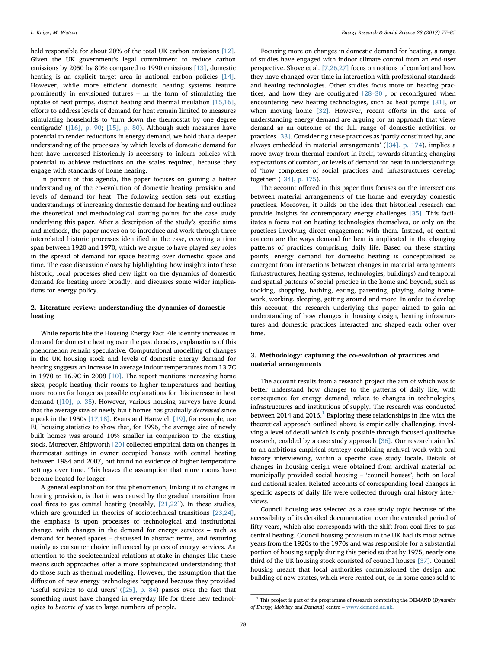held responsible for about 20% of the total UK carbon emissions [\[12\]](#page-7-8). Given the UK government's legal commitment to reduce carbon emissions by 2050 by 80% compared to 1990 emissions [\[13\],](#page-7-9) domestic heating is an explicit target area in national carbon policies [\[14\]](#page-7-10). However, while more efficient domestic heating systems feature prominently in envisioned futures – in the form of stimulating the uptake of heat pumps, district heating and thermal insulation [\[15,16\]](#page-7-11), efforts to address levels of demand for heat remain limited to measures stimulating households to 'turn down the thermostat by one degree centigrade' [\(\[16\], p. 90](#page-7-12); [\[15\], p. 80\)](#page-7-11). Although such measures have potential to render reductions in energy demand, we hold that a deeper understanding of the processes by which levels of domestic demand for heat have increased historically is necessary to inform policies with potential to achieve reductions on the scales required, because they engage with standards of home heating.

In pursuit of this agenda, the paper focuses on gaining a better understanding of the co-evolution of domestic heating provision and levels of demand for heat. The following section sets out existing understandings of increasing domestic demand for heating and outlines the theoretical and methodological starting points for the case study underlying this paper. After a description of the study's specific aims and methods, the paper moves on to introduce and work through three interrelated historic processes identified in the case, covering a time span between 1920 and 1970, which we argue to have played key roles in the spread of demand for space heating over domestic space and time. The case discussion closes by highlighting how insights into these historic, local processes shed new light on the dynamics of domestic demand for heating more broadly, and discusses some wider implications for energy policy.

# 2. Literature review: understanding the dynamics of domestic heating

While reports like the Housing Energy Fact File identify increases in demand for domestic heating over the past decades, explanations of this phenomenon remain speculative. Computational modelling of changes in the UK housing stock and levels of domestic energy demand for heating suggests an increase in average indoor temperatures from 13.7C in 1970 to 16.9C in 2008 [\[10\].](#page-7-6) The report mentions increasing home sizes, people heating their rooms to higher temperatures and heating more rooms for longer as possible explanations for this increase in heat demand [\(\[10\], p. 35](#page-7-6)). However, various housing surveys have found that the average size of newly built homes has gradually decreased since a peak in the 1950s [\[17,18\].](#page-7-13) Evans and Hartwich [\[19\]](#page-7-14), for example, use EU housing statistics to show that, for 1996, the average size of newly built homes was around 10% smaller in comparison to the existing stock. Moreover, Shipworth [\[20\]](#page-7-15) collected empirical data on changes in thermostat settings in owner occupied houses with central heating between 1984 and 2007, but found no evidence of higher temperature settings over time. This leaves the assumption that more rooms have become heated for longer.

A general explanation for this phenomenon, linking it to changes in heating provision, is that it was caused by the gradual transition from coal fires to gas central heating (notably, [\[21,22\]\)](#page-7-16). In these studies, which are grounded in theories of sociotechnical transitions [\[23,24\]](#page-7-17), the emphasis is upon processes of technological and institutional change, with changes in the demand for energy services – such as demand for heated spaces – discussed in abstract terms, and featuring mainly as consumer choice influenced by prices of energy services. An attention to the sociotechnical relations at stake in changes like these means such approaches offer a more sophisticated understanding that do those such as thermal modelling. However, the assumption that the diffusion of new energy technologies happened because they provided 'useful services to end users' ([\[25\], p. 84](#page-7-18)) passes over the fact that something must have changed in everyday life for these new technologies to become of use to large numbers of people.

Focusing more on changes in domestic demand for heating, a range of studies have engaged with indoor climate control from an end-user perspective. Shove et al. [\[7,26,27\]](#page-7-19) focus on notions of comfort and how they have changed over time in interaction with professional standards and heating technologies. Other studies focus more on heating practices, and how they are configured [28–[30\]](#page-7-20), or reconfigured when encountering new heating technologies, such as heat pumps [\[31\],](#page-7-21) or when moving home [\[32\]](#page-7-22). However, recent efforts in the area of understanding energy demand are arguing for an approach that views demand as an outcome of the full range of domestic activities, or practices [\[33\]](#page-7-23). Considering these practices as 'partly constituted by, and always embedded in material arrangements' [\(\[34\], p. 174\)](#page-7-24), implies a move away from thermal comfort in itself, towards situating changing expectations of comfort, or levels of demand for heat in understandings of 'how complexes of social practices and infrastructures develop together' ([\[34\], p. 175](#page-7-24)).

The account offered in this paper thus focuses on the intersections between material arrangements of the home and everyday domestic practices. Moreover, it builds on the idea that historical research can provide insights for contemporary energy challenges [\[35\]](#page-7-25). This facilitates a focus not on heating technologies themselves, or only on the practices involving direct engagement with them. Instead, of central concern are the ways demand for heat is implicated in the changing patterns of practices comprising daily life. Based on these starting points, energy demand for domestic heating is conceptualised as emergent from interactions between changes in material arrangements (infrastructures, heating systems, technologies, buildings) and temporal and spatial patterns of social practice in the home and beyond, such as cooking, shopping, bathing, eating, parenting, playing, doing homework, working, sleeping, getting around and more. In order to develop this account, the research underlying this paper aimed to gain an understanding of how changes in housing design, heating infrastructures and domestic practices interacted and shaped each other over time.

# 3. Methodology: capturing the co-evolution of practices and material arrangements

The account results from a research project the aim of which was to better understand how changes to the patterns of daily life, with consequence for energy demand, relate to changes in technologies, infrastructures and institutions of supply. The research was conducted between 20[1](#page-1-0)4 and 2016.<sup>1</sup> Exploring these relationships in line with the theoretical approach outlined above is empirically challenging, involving a level of detail which is only possible through focused qualitative research, enabled by a case study approach [\[36\]](#page-7-26). Our research aim led to an ambitious empirical strategy combining archival work with oral history interviewing, within a specific case study locale. Details of changes in housing design were obtained from archival material on municipally provided social housing – 'council houses', both on local and national scales. Related accounts of corresponding local changes in specific aspects of daily life were collected through oral history interviews.

Council housing was selected as a case study topic because of the accessibility of its detailed documentation over the extended period of fifty years, which also corresponds with the shift from coal fires to gas central heating. Council housing provision in the UK had its most active years from the 1920s to the 1970s and was responsible for a substantial portion of housing supply during this period so that by 1975, nearly one third of the UK housing stock consisted of council houses [\[37\]](#page-7-27). Council housing meant that local authorities commissioned the design and building of new estates, which were rented out, or in some cases sold to

<span id="page-1-0"></span> $1$  This project is part of the programme of research comprising the DEMAND (Dynamics of Energy, Mobility and Demand) centre – [www.demand.ac.uk.](http://www.demand.ac.uk)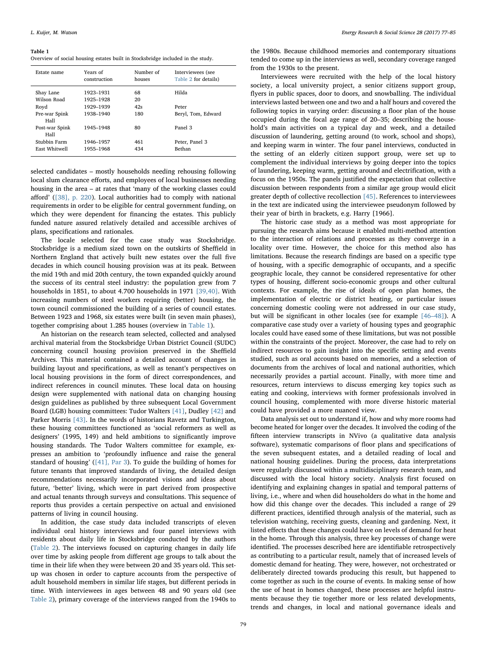#### <span id="page-2-0"></span>Table 1

Overview of social housing estates built in Stocksbridge included in the study.

| Estate name            | Years of     | Number of | Interviewees (see    |
|------------------------|--------------|-----------|----------------------|
|                        | construction | houses    | Table 2 for details) |
| Shay Lane              | 1923-1931    | 68        | Hilda                |
| Wilson Road            | 1925-1928    | 20        |                      |
| Royd                   | 1929-1939    | 42s       | Peter                |
| Pre-war Spink<br>Hall  | 1938-1940    | 180       | Beryl, Tom, Edward   |
| Post-war Spink<br>Hall | 1945-1948    | 80        | Panel 3              |
| Stubbin Farm           | 1946-1957    | 461       | Peter, Panel 3       |
| <b>East Whitwell</b>   | 1955-1968    | 434       | Bethan               |

selected candidates – mostly households needing rehousing following local slum clearance efforts, and employees of local businesses needing housing in the area – at rates that 'many of the working classes could afford' [\(\[38\], p. 220](#page-7-28)). Local authorities had to comply with national requirements in order to be eligible for central government funding, on which they were dependent for financing the estates. This publicly funded nature assured relatively detailed and accessible archives of plans, specifications and rationales.

The locale selected for the case study was Stocksbridge. Stocksbridge is a medium sized town on the outskirts of Sheffield in Northern England that actively built new estates over the full five decades in which council housing provision was at its peak. Between the mid 19th and mid 20th century, the town expanded quickly around the success of its central steel industry: the population grew from 7 households in 1851, to about 4.700 households in 1971 [\[39,40\].](#page-7-29) With increasing numbers of steel workers requiring (better) housing, the town council commissioned the building of a series of council estates. Between 1923 and 1968, six estates were built (in seven main phases), together comprising about 1.285 houses (overview in [Table 1\)](#page-2-0).

An historian on the research team selected, collected and analysed archival material from the Stocksbridge Urban District Council (SUDC) concerning council housing provision preserved in the Sheffield Archives. This material contained a detailed account of changes in building layout and specifications, as well as tenant's perspectives on local housing provisions in the form of direct correspondences, and indirect references in council minutes. These local data on housing design were supplemented with national data on changing housing design guidelines as published by three subsequent Local Government Board (LGB) housing committees: Tudor Walters [\[41\]](#page-7-30), Dudley [\[42\]](#page-7-31) and Parker Morris [\[43\].](#page-7-32) In the words of historians Ravetz and Turkington, these housing committees functioned as 'social reformers as well as designers' (1995, 149) and held ambitions to significantly improve housing standards. The Tudor Walters committee for example, expresses an ambition to 'profoundly influence and raise the general standard of housing' ([\[41\], Par 3\)](#page-7-30). To guide the building of homes for future tenants that improved standards of living, the detailed design recommendations necessarily incorporated visions and ideas about future, 'better' living, which were in part derived from prospective and actual tenants through surveys and consultations. This sequence of reports thus provides a certain perspective on actual and envisioned patterns of living in council housing.

In addition, the case study data included transcripts of eleven individual oral history interviews and four panel interviews with residents about daily life in Stocksbridge conducted by the authors ([Table 2](#page-3-0)). The interviews focused on capturing changes in daily life over time by asking people from different age groups to talk about the time in their life when they were between 20 and 35 years old. This setup was chosen in order to capture accounts from the perspective of adult household members in similar life stages, but different periods in time. With interviewees in ages between 48 and 90 years old (see [Table 2](#page-3-0)), primary coverage of the interviews ranged from the 1940s to

the 1980s. Because childhood memories and contemporary situations tended to come up in the interviews as well, secondary coverage ranged from the 1930s to the present.

Interviewees were recruited with the help of the local history society, a local university project, a senior citizens support group, flyers in public spaces, door to doors, and snowballing. The individual interviews lasted between one and two and a half hours and covered the following topics in varying order: discussing a floor plan of the house occupied during the focal age range of 20–35; describing the household's main activities on a typical day and week, and a detailed discussion of laundering, getting around (to work, school and shops), and keeping warm in winter. The four panel interviews, conducted in the setting of an elderly citizen support group, were set up to complement the individual interviews by going deeper into the topics of laundering, keeping warm, getting around and electrification, with a focus on the 1950s. The panels justified the expectation that collective discussion between respondents from a similar age group would elicit greater depth of collective recollection [\[45\].](#page-7-33) References to interviewees in the text are indicated using the interviewee pseudonym followed by their year of birth in brackets, e.g. Harry [1966].

The historic case study as a method was most appropriate for pursuing the research aims because it enabled multi-method attention to the interaction of relations and processes as they converge in a locality over time. However, the choice for this method also has limitations. Because the research findings are based on a specific type of housing, with a specific demographic of occupants, and a specific geographic locale, they cannot be considered representative for other types of housing, different socio-economic groups and other cultural contexts. For example, the rise of ideals of open plan homes, the implementation of electric or district heating, or particular issues concerning domestic cooling were not addressed in our case study, but will be significant in other locales (see for example [46–[48\]\)](#page-7-34). A comparative case study over a variety of housing types and geographic locales could have eased some of these limitations, but was not possible within the constraints of the project. Moreover, the case had to rely on indirect resources to gain insight into the specific setting and events studied, such as oral accounts based on memories, and a selection of documents from the archives of local and national authorities, which necessarily provides a partial account. Finally, with more time and resources, return interviews to discuss emerging key topics such as eating and cooking, interviews with former professionals involved in council housing, complemented with more diverse historic material could have provided a more nuanced view.

Data analysis set out to understand if, how and why more rooms had become heated for longer over the decades. It involved the coding of the fifteen interview transcripts in NVivo (a qualitative data analysis software), systematic comparisons of floor plans and specifications of the seven subsequent estates, and a detailed reading of local and national housing guidelines. During the process, data interpretations were regularly discussed within a multidisciplinary research team, and discussed with the local history society. Analysis first focused on identifying and explaining changes in spatial and temporal patterns of living, i.e., where and when did householders do what in the home and how did this change over the decades. This included a range of 29 different practices, identified through analysis of the material, such as television watching, receiving guests, cleaning and gardening. Next, it listed effects that these changes could have on levels of demand for heat in the home. Through this analysis, three key processes of change were identified. The processes described here are identifiable retrospectively as contributing to a particular result, namely that of increased levels of domestic demand for heating. They were, however, not orchestrated or deliberately directed towards producing this result, but happened to come together as such in the course of events. In making sense of how the use of heat in homes changed, these processes are helpful instruments because they tie together more or less related developments, trends and changes, in local and national governance ideals and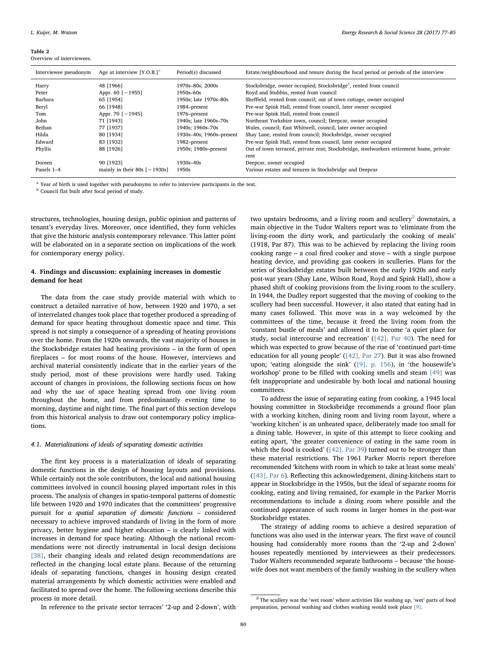<span id="page-3-0"></span>Table 2

Overview of interviewees.

| Interviewee pseudonym | Age at interview $[Y.O.B.]^a$                  | Period(s) discussed      | Estate/neighbourhood and tenure during the focal period or periods of the interview     |
|-----------------------|------------------------------------------------|--------------------------|-----------------------------------------------------------------------------------------|
| Harry                 | 48 [1966]                                      | 1970s-80s; 2000s         | Stocksbridge, owner occupied; Stocksbridge <sup>b</sup> , rented from council           |
| Peter                 | Appr. 60 $\lceil$ ~ 1955]                      | $1950s - 60s$            | Royd and Stubbin, rented from council                                                   |
| Barbara               | 65 [1954]                                      | 1950s: late 1970s-80s    | Sheffield, rented from council; out of town cottage, owner occupied                     |
| Beryl                 | 66 [1948]                                      | 1984–present             | Pre-war Spink Hall, rented from council, later owner occupied                           |
| Tom                   | Appr. 70 $\lceil$ ~ 1945]                      | 1976–present             | Pre-war Spink Hall, rented from council                                                 |
| John                  | 71 [1943]                                      | 1940s; late 1960s-70s    | Northeast Yorkshire town, council; Deepcar, owner occupied                              |
| Bethan                | 77 [1937]                                      | 1940s; 1960s-70s         | Wales, council; East Whitwell, council, later owner occupied                            |
| Hilda                 | 80 [1934]                                      | 1930s-40s; 1960s-present | Shay Lane, rented from council; Stocksbridge, owner occupied                            |
| Edward                | 83 [1932]                                      | 1982–present             | Pre-war Spink Hall, rented from council, later owner occupied                           |
| Phyllis               | 88 [1926]                                      | 1950s; 1980s-present     | Out of town terraced, private rent; Stocksbridge, steelworkers retirement home, private |
|                       |                                                |                          | rent                                                                                    |
| Doreen                | 90 [1923]                                      | 1930s-40s                | Deepcar, owner occupied                                                                 |
| Panels 1-4            | mainly in their 80s $\lceil \sim 1930s \rceil$ | 1950s                    | Various estates and tenures in Stocksbridge and Deepcar                                 |

<span id="page-3-2"></span><sup>a</sup> Year of birth is used together with pseudonyms to refer to interview participants in the text.

<span id="page-3-3"></span><sup>b</sup> Council flat built after focal period of study.

structures, technologies, housing design, public opinion and patterns of tenant's everyday lives. Moreover, once identified, they form vehicles that give the historic analysis contemporary relevance. This latter point will be elaborated on in a separate section on implications of the work for contemporary energy policy.

# 4. Findings and discussion: explaining increases in domestic demand for heat

The data from the case study provide material with which to construct a detailed narrative of how, between 1920 and 1970, a set of interrelated changes took place that together produced a spreading of demand for space heating throughout domestic space and time. This spread is not simply a consequence of a spreading of heating provisions over the home. From the 1920s onwards, the vast majority of houses in the Stocksbridge estates had heating provisions – in the form of open fireplaces – for most rooms of the house. However, interviews and archival material consistently indicate that in the earlier years of the study period, most of these provisions were hardly used. Taking account of changes in provisions, the following sections focus on how and why the use of space heating spread from one living room throughout the home, and from predominantly evening time to morning, daytime and night time. The final part of this section develops from this historical analysis to draw out contemporary policy implications.

#### 4.1. Materializations of ideals of separating domestic activities

The first key process is a materialization of ideals of separating domestic functions in the design of housing layouts and provisions. While certainly not the sole contributors, the local and national housing committees involved in council housing played important roles in this process. The analysis of changes in spatio-temporal patterns of domestic life between 1920 and 1970 indicates that the committees' progressive pursuit for a spatial separation of domestic functions – considered necessary to achieve improved standards of living in the form of more privacy, better hygiene and higher education – is clearly linked with increases in demand for space heating. Although the national recommendations were not directly instrumental in local design decisions [\[38\]](#page-7-28), their changing ideals and related design recommendations are reflected in the changing local estate plans. Because of the returning ideals of separating functions, changes in housing design created material arrangements by which domestic activities were enabled and facilitated to spread over the home. The following sections describe this process in more detail.

two upstairs bedrooms, and a living room and scullery<sup>[2](#page-3-1)</sup> downstairs, a main objective in the Tudor Walters report was to 'eliminate from the living-room the dirty work, and particularly the cooking of meals' (1918, Par 87). This was to be achieved by replacing the living room cooking range – a coal fired cooker and stove – with a single purpose heating device, and providing gas cookers in sculleries. Plans for the series of Stocksbridge estates built between the early 1920s and early post-war years (Shay Lane, Wilson Road, Royd and Spink Hall), show a phased shift of cooking provisions from the living room to the scullery. In 1944, the Dudley report suggested that the moving of cooking to the scullery had been successful. However, it also stated that eating had in many cases followed. This move was in a way welcomed by the committees of the time, because it freed the living room from the 'constant bustle of meals' and allowed it to become 'a quiet place for study, social intercourse and recreation' [\(\[42\], Par 40\)](#page-7-31). The need for which was expected to grow because of the rise of 'continued part-time education for all young people' ([\[42\], Par 27](#page-7-31)). But it was also frowned upon; 'eating alongside the sink' [\(\[9\], p. 156](#page-7-5)), in 'the housewife's workshop' prone to be filled with cooking smells and steam [\[49\]](#page-7-35) was felt inappropriate and undesirable by both local and national housing committees.

To address the issue of separating eating from cooking, a 1945 local housing committee in Stocksbridge recommends a ground floor plan with a working kitchen, dining room and living room layout, where a 'working kitchen' is an unheated space, deliberately made too small for a dining table. However, in spite of this attempt to force cooking and eating apart, 'the greater convenience of eating in the same room in which the food is cooked' [\(\[42\], Par 39\)](#page-7-31) turned out to be stronger than these material restrictions. The 1961 Parker Morris report therefore recommended 'kitchens with room in which to take at least some meals' ([\[43\], Par 6](#page-7-32)). Reflecting this acknowledgement, dining-kitchens start to appear in Stocksbridge in the 1950s, but the ideal of separate rooms for cooking, eating and living remained, for example in the Parker Morris recommendations to include a dining room where possible and the continued appearance of such rooms in larger homes in the post-war Stocksbridge estates.

The strategy of adding rooms to achieve a desired separation of functions was also used in the interwar years. The first wave of council housing had considerably more rooms than the '2-up and 2-down' houses repeatedly mentioned by interviewees as their predecessors. Tudor Walters recommended separate bathrooms – because 'the housewife does not want members of the family washing in the scullery when

In reference to the private sector terraces' '2-up and 2-down', with

<span id="page-3-1"></span><sup>2</sup> The scullery was the 'wet room' where activities like washing up, 'wet' parts of food preparation, personal washing and clothes washing would took place [\[9\]](#page-7-5).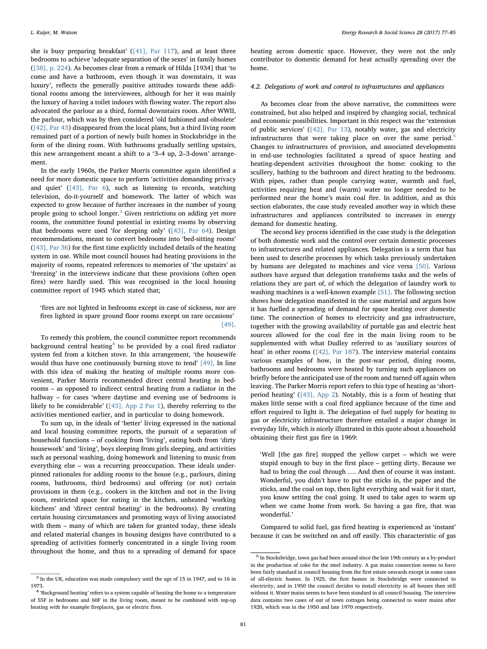she is busy preparing breakfast' [\(\[41\], Par 117](#page-7-30)), and at least three bedrooms to achieve 'adequate separation of the sexes' in family homes ([\[38\], p. 224](#page-7-28)). As becomes clear from a remark of Hilda [1934] that 'to come and have a bathroom, even though it was downstairs, it was luxury', reflects the generally positive attitudes towards these additional rooms among the interviewees, although for her it was mainly the luxury of having a toilet indoors with flowing water. The report also advocated the parlour as a third, formal downstairs room. After WWII, the parlour, which was by then considered 'old fashioned and obsolete' ([\[42\], Par 43\)](#page-7-31) disappeared from the local plans, but a third living room remained part of a portion of newly built homes in Stocksbridge in the form of the dining room. With bathrooms gradually settling upstairs, this new arrangement meant a shift to a '3–4 up, 2–3-down' arrangement.

In the early 1960s, the Parker Morris committee again identified a need for more domestic space to perform 'activities demanding privacy and quiet' ([\[43\], Par 6\)](#page-7-32), such as listening to records, watching television, do-it-yourself and homework. The latter of which was expected to grow because of further increases in the number of young people going to school longer.<sup>[3](#page-4-0)</sup> Given restrictions on adding yet more rooms, the committee found potential in existing rooms by observing that bedrooms were used 'for sleeping only' ([\[43\], Par 64\)](#page-7-32). Design recommendations, meant to convert bedrooms into 'bed-sitting rooms' ([\[43\], Par 36](#page-7-32)) for the first time explicitly included details of the heating system in use. While most council houses had heating provisions in the majority of rooms, repeated references to memories of 'the upstairs' as 'freezing' in the interviews indicate that these provisions (often open fires) were hardly used. This was recognised in the local housing committee report of 1945 which stated that;

# 'fires are not lighted in bedrooms except in case of sickness, nor are fires lighted in spare ground floor rooms except on rare occasions'  $[49]$ .

To remedy this problem, the council committee report recommends background central heating<sup>[4](#page-4-1)</sup> to be provided by a coal fired radiator system fed from a kitchen stove. In this arrangement, 'the housewife would thus have one continuously burning stove to tend' [\[49\].](#page-7-35) In line with this idea of making the heating of multiple rooms more convenient, Parker Morris recommended direct central heating in bedrooms – as opposed to indirect central heating from a radiator in the hallway – for cases 'where daytime and evening use of bedrooms is likely to be considerable' ([\[43\], App 2 Par 1\)](#page-7-32), thereby referring to the activities mentioned earlier, and in particular to doing homework.

To sum up, in the ideals of 'better' living expressed in the national and local housing committee reports, the pursuit of a separation of household functions – of cooking from 'living', eating both from 'dirty housework' and 'living', boys sleeping from girls sleeping, and activities such as personal washing, doing homework and listening to music from everything else – was a recurring preoccupation. These ideals underpinned rationales for adding rooms to the house (e.g., parlours, dining rooms, bathrooms, third bedrooms) and offering (or not) certain provisions in them (e.g., cookers in the kitchen and not in the living room, restricted space for eating in the kitchen, unheated 'working kitchens' and 'direct central heating' in the bedrooms). By creating certain housing circumstances and promoting ways of living associated with them – many of which are taken for granted today, these ideals and related material changes in housing designs have contributed to a spreading of activities formerly concentrated in a single living room throughout the home, and thus to a spreading of demand for space

heating across domestic space. However, they were not the only contributor to domestic demand for heat actually spreading over the home.

## 4.2. Delegations of work and control to infrastructures and appliances

As becomes clear from the above narrative, the committees were constrained, but also helped and inspired by changing social, technical and economic possibilities. Important in this respect was the 'extension of public services' [\(\[42\], Par 13](#page-7-31)), notably water, gas and electricity infrastructures that were taking place on over the same period.<sup>[5](#page-4-2)</sup> Changes to infrastructures of provision, and associated developments in end-use technologies facilitated a spread of space heating and heating-dependent activities throughout the home: cooking to the scullery, bathing to the bathroom and direct heating to the bedrooms. With pipes, rather than people carrying water, warmth and fuel, activities requiring heat and (warm) water no longer needed to be performed near the home's main coal fire. In addition, and as this section elaborates, the case study revealed another way in which these infrastructures and appliances contributed to increases in energy demand for domestic heating.

The second key process identified in the case study is the delegation of both domestic work and the control over certain domestic processes to infrastructures and related appliances. Delegation is a term that has been used to describe processes by which tasks previously undertaken by humans are delegated to machines and vice versa [\[50\].](#page-7-36) Various authors have argued that delegation transforms tasks and the webs of relations they are part of, of which the delegation of laundry work to washing machines is a well-known example [\[51\].](#page-7-37) The following section shows how delegation manifested in the case material and argues how it has fuelled a spreading of demand for space heating over domestic time. The connection of homes to electricity and gas infrastructure, together with the growing availability of portable gas and electric heat sources allowed for the coal fire in the main living room to be supplemented with what Dudley referred to as 'auxiliary sources of heat' in other rooms ([\[42\], Par 187](#page-7-31)). The interview material contains various examples of how, in the post-war period, dining rooms, bathrooms and bedrooms were heated by turning such appliances on briefly before the anticipated use of the room and turned off again when leaving. The Parker Morris report refers to this type of heating as 'shortperiod heating' [\(\[43\], App 2](#page-7-32)). Notably, this is a form of heating that makes little sense with a coal fired appliance because of the time and effort required to light it. The delegation of fuel supply for heating to gas or electricity infrastructure therefore entailed a major change in everyday life, which is nicely illustrated in this quote about a household obtaining their first gas fire in 1969:

'Well [the gas fire] stopped the yellow carpet – which we were stupid enough to buy in the first place – getting dirty. Because we had to bring the coal through …. And then of course it was instant. Wonderful, you didn't have to put the sticks in, the paper and the sticks, and the coal on top, then light everything and wait for it start, you know setting the coal going. It used to take ages to warm up when we came home from work. So having a gas fire, that was wonderful.'

Compared to solid fuel, gas fired heating is experienced as 'instant' because it can be switched on and off easily. This characteristic of gas

<span id="page-4-0"></span> $^3$  In the UK, education was made compulsory until the age of 15 in 1947, and to 16 in 1973. 4 'Background heating' refers to a system capable of heating the home to a temperature

<span id="page-4-1"></span>of 55F in bedrooms and 60F in the living room, meant to be combined with top-up heating with for example fireplaces, gas or electric fires.

<span id="page-4-2"></span><sup>5</sup> In Stocksbridge, town gas had been around since the late 19th century as a by-product in the production of coke for the steel industry. A gas mains connection seems to have been fairly standard in council housing from the first estate onwards except in some cases of all-electric homes. In 1925, the first homes in Stocksbridge were connected to electricity, and in 1950 the council decides to install electricity in all houses then still without it. Water mains seems to have been standard in all council housing. The interview data contains two cases of out of town cottages being connected to water mains after 1920, which was in the 1950 and late 1970 respectively.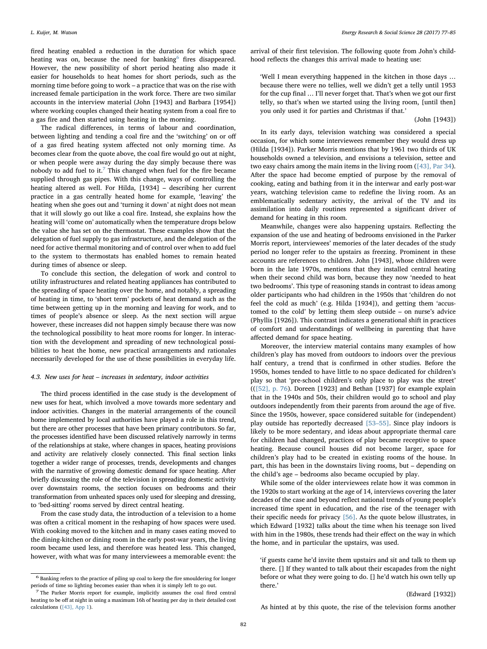fired heating enabled a reduction in the duration for which space heating was on, because the need for banking<sup>[6](#page-5-0)</sup> fires disappeared. However, the new possibility of short period heating also made it easier for households to heat homes for short periods, such as the morning time before going to work – a practice that was on the rise with increased female participation in the work force. There are two similar accounts in the interview material (John [1943] and Barbara [1954]) where working couples changed their heating system from a coal fire to a gas fire and then started using heating in the morning.

The radical differences, in terms of labour and coordination, between lighting and tending a coal fire and the 'switching' on or off of a gas fired heating system affected not only morning time. As becomes clear from the quote above, the coal fire would go out at night, or when people were away during the day simply because there was nobody to add fuel to it.<sup>[7](#page-5-1)</sup> This changed when fuel for the fire became supplied through gas pipes. With this change, ways of controlling the heating altered as well. For Hilda, [1934] – describing her current practice in a gas centrally heated home for example, 'leaving' the heating when she goes out and 'turning it down' at night does not mean that it will slowly go out like a coal fire. Instead, she explains how the heating will 'come on' automatically when the temperature drops below the value she has set on the thermostat. These examples show that the delegation of fuel supply to gas infrastructure, and the delegation of the need for active thermal monitoring and of control over when to add fuel to the system to thermostats has enabled homes to remain heated during times of absence or sleep.

To conclude this section, the delegation of work and control to utility infrastructures and related heating appliances has contributed to the spreading of space heating over the home, and notably, a spreading of heating in time, to 'short term' pockets of heat demand such as the time between getting up in the morning and leaving for work, and to times of people's absence or sleep. As the next section will argue however, these increases did not happen simply because there was now the technological possibility to heat more rooms for longer. In interaction with the development and spreading of new technological possibilities to heat the home, new practical arrangements and rationales necessarily developed for the use of these possibilities in everyday life.

## 4.3. New uses for heat – increases in sedentary, indoor activities

The third process identified in the case study is the development of new uses for heat, which involved a move towards more sedentary and indoor activities. Changes in the material arrangements of the council home implemented by local authorities have played a role in this trend, but there are other processes that have been primary contributors. So far, the processes identified have been discussed relatively narrowly in terms of the relationships at stake, where changes in spaces, heating provisions and activity are relatively closely connected. This final section links together a wider range of processes, trends, developments and changes with the narrative of growing domestic demand for space heating. After briefly discussing the role of the television in spreading domestic activity over downstairs rooms, the section focuses on bedrooms and their transformation from unheated spaces only used for sleeping and dressing, to 'bed-sitting' rooms served by direct central heating.

From the case study data, the introduction of a television to a home was often a critical moment in the reshaping of how spaces were used. With cooking moved to the kitchen and in many cases eating moved to the dining-kitchen or dining room in the early post-war years, the living room became used less, and therefore was heated less. This changed, however, with what was for many interviewees a memorable event: the

arrival of their first television. The following quote from John's childhood reflects the changes this arrival made to heating use:

'Well I mean everything happened in the kitchen in those days … because there were no tellies, well we didn't get a telly until 1953 for the cup final … I'll never forget that. That's when we got our first telly, so that's when we started using the living room, [until then] you only used it for parties and Christmas if that.'

## (John [1943])

In its early days, television watching was considered a special occasion, for which some interviewees remember they would dress up (Hilda [1934]). Parker Morris mentions that by 1961 two thirds of UK households owned a television, and envisions a television, settee and two easy chairs among the main items in the living room ([\[43\], Par 34](#page-7-32)). After the space had become emptied of purpose by the removal of cooking, eating and bathing from it in the interwar and early post-war years, watching television came to redefine the living room. As an emblematically sedentary activity, the arrival of the TV and its assimilation into daily routines represented a significant driver of demand for heating in this room.

Meanwhile, changes were also happening upstairs. Reflecting the expansion of the use and heating of bedrooms envisioned in the Parker Morris report, interviewees' memories of the later decades of the study period no longer refer to the upstairs as freezing. Prominent in these accounts are references to children. John [1943], whose children were born in the late 1970s, mentions that they installed central heating when their second child was born, because they now 'needed to heat two bedrooms'. This type of reasoning stands in contrast to ideas among older participants who had children in the 1950s that 'children do not feel the cold as much' (e.g. Hilda [1934]), and getting them 'accustomed to the cold' by letting them sleep outside – on nurse's advice (Phyllis [1926]). This contrast indicates a generational shift in practices of comfort and understandings of wellbeing in parenting that have affected demand for space heating.

Moreover, the interview material contains many examples of how children's play has moved from outdoors to indoors over the previous half century, a trend that is confirmed in other studies. Before the 1950s, homes tended to have little to no space dedicated for children's play so that 'pre-school children's only place to play was the street' (([\[52\], p. 76\)](#page-8-0). Doreen [1923] and Bethan [1937] for example explain that in the 1940s and 50s, their children would go to school and play outdoors independently from their parents from around the age of five. Since the 1950s, however, space considered suitable for (independent) play outside has reportedly decreased [\[53](#page-8-1)–55]. Since play indoors is likely to be more sedentary, and ideas about appropriate thermal care for children had changed, practices of play became receptive to space heating. Because council houses did not become larger, space for children's play had to be created in existing rooms of the house. In part, this has been in the downstairs living rooms, but – depending on the child's age – bedrooms also became occupied by play.

While some of the older interviewees relate how it was common in the 1920s to start working at the age of 14, interviews covering the later decades of the case and beyond reflect national trends of young people's increased time spent in education, and the rise of the teenager with their specific needs for privacy [\[56\].](#page-8-2) As the quote below illustrates, in which Edward [1932] talks about the time when his teenage son lived with him in the 1980s, these trends had their effect on the way in which the home, and in particular the upstairs, was used.

'if guests came he'd invite them upstairs and sit and talk to them up there. [] If they wanted to talk about their escapades from the night before or what they were going to do. [] he'd watch his own telly up there.'

## (Edward [1932])

<span id="page-5-0"></span> $^{\rm 6}$  Banking refers to the practice of piling up coal to keep the fire smouldering for longer periods of time so lighting becomes easier than when it is simply left to go out. <sup>7</sup> The Parker Morris report for example, implicitly assumes the coal fired central

<span id="page-5-1"></span>heating to be off at night in using a maximum 16h of heating per day in their detailed cost calculations ([\[43\], App 1](#page-7-32)).

As hinted at by this quote, the rise of the television forms another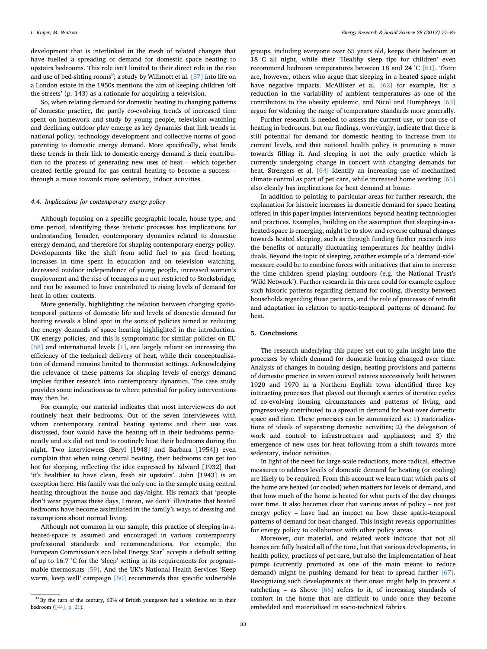development that is interlinked in the mesh of related changes that have fuelled a spreading of demand for domestic space heating to upstairs bedrooms. This role isn't limited to their direct role in the rise and use of bed-sitting rooms $^8$  $^8$ ; a study by Willmott et al. [\[57\]](#page-8-3) into life on a London estate in the 1950s mentions the aim of keeping children 'off the streets' (p. 143) as a rationale for acquiring a television.

So, when relating demand for domestic heating to changing patterns of domestic practice, the partly co-evolving trends of increased time spent on homework and study by young people, television watching and declining outdoor play emerge as key dynamics that link trends in national policy, technology development and collective norms of good parenting to domestic energy demand. More specifically, what binds these trends in their link to domestic energy demand is their contribution to the process of generating new uses of heat – which together created fertile ground for gas central heating to become a success – through a move towards more sedentary, indoor activities.

# <span id="page-6-0"></span>4.4. Implications for contemporary energy policy

Although focusing on a specific geographic locale, house type, and time period, identifying these historic processes has implications for understanding broader, contemporary dynamics related to domestic energy demand, and therefore for shaping contemporary energy policy. Developments like the shift from solid fuel to gas fired heating, increases in time spent in education and on television watching, decreased outdoor independence of young people, increased women's employment and the rise of teenagers are not restricted to Stocksbridge, and can be assumed to have contributed to rising levels of demand for heat in other contexts.

More generally, highlighting the relation between changing spatiotemporal patterns of domestic life and levels of domestic demand for heating reveals a blind spot in the sorts of policies aimed at reducing the energy demands of space heating highlighted in the introduction. UK energy policies, and this is symptomatic for similar policies on EU [\[58\]](#page-8-4) and international levels [\[1\],](#page-7-0) are largely reliant on increasing the efficiency of the technical delivery of heat, while their conceptualisation of demand remains limited to thermostat settings. Acknowledging the relevance of these patterns for shaping levels of energy demand implies further research into contemporary dynamics. The case study provides some indications as to where potential for policy interventions may then lie.

For example, our material indicates that most interviewees do not routinely heat their bedrooms. Out of the seven interviewees with whom contemporary central heating systems and their use was discussed, four would have the heating off in their bedrooms permanently and six did not tend to routinely heat their bedrooms during the night. Two interviewees (Beryl [1948] and Barbara [1954]) even complain that when using central heating, their bedrooms can get too hot for sleeping, reflecting the idea expressed by Edward [1932] that 'it's healthier to have clean, fresh air upstairs'. John [1943] is an exception here. His family was the only one in the sample using central heating throughout the house and day/night. His remark that 'people don't wear pyjamas these days, I mean, we don't' illustrates that heated bedrooms have become assimilated in the family's ways of dressing and assumptions about normal living.

Although not common in our sample, this practice of sleeping-in-aheated-space is assumed and encouraged in various contemporary professional standards and recommendations. For example, the European Commission's eco label Energy Star® accepts a default setting of up to 16.7 °C for the 'sleep' setting in its requirements for programmable thermostats [\[59\]](#page-8-5). And the UK's National Health Services 'Keep warm, keep well' campaign [\[60\]](#page-8-6) recommends that specific vulnerable

groups, including everyone over 65 years old, keeps their bedroom at 18 °C all night, while their 'Healthy sleep tips for children' even recommend bedroom temperatures between 18 and 24 °C [\[61\]](#page-8-7). There are, however, others who argue that sleeping in a heated space might have negative impacts. McAllister et al. [\[62\]](#page-8-8) for example, list a reduction in the variability of ambient temperatures as one of the contributors to the obesity epidemic, and Nicol and Humphreys [\[63\]](#page-8-9) argue for widening the range of temperature standards more generally.

Further research is needed to assess the current use, or non-use of heating in bedrooms, but our findings, worryingly, indicate that there is still potential for demand for domestic heating to increase from its current levels, and that national health policy is promoting a move towards filling it. And sleeping is not the only practice which is currently undergoing change in concert with changing demands for heat. Strengers et al. [\[64\]](#page-8-10) identify an increasing use of mechanized climate control as part of pet care, while increased home working [\[65\]](#page-8-11) also clearly has implications for heat demand at home.

In addition to pointing to particular areas for further research, the explanation for historic increases in domestic demand for space heating offered in this paper implies interventions beyond heating technologies and practices. Examples, building on the assumption that sleeping-in-aheated-space is emerging, might be to slow and reverse cultural changes towards heated sleeping, such as through funding further research into the benefits of naturally fluctuating temperatures for healthy individuals. Beyond the topic of sleeping, another example of a 'demand-side' measure could be to combine forces with initiatives that aim to increase the time children spend playing outdoors (e.g. the National Trust's 'Wild Network'). Further research in this area could for example explore such historic patterns regarding demand for cooling, diversity between households regarding these patterns, and the role of processes of retrofit and adaptation in relation to spatio-temporal patterns of demand for heat.

## 5. Conclusions

The research underlying this paper set out to gain insight into the processes by which demand for domestic heating changed over time. Analysis of changes in housing design, heating provisions and patterns of domestic practice in seven council estates successively built between 1920 and 1970 in a Northern English town identified three key interacting processes that played out through a series of iterative cycles of co-evolving housing circumstances and patterns of living, and progressively contributed to a spread in demand for heat over domestic space and time. These processes can be summarized as: 1) materializations of ideals of separating domestic activities; 2) the delegation of work and control to infrastructures and appliances; and 3) the emergence of new uses for heat following from a shift towards more sedentary, indoor activities.

In light of the need for large scale reductions, more radical, effective measures to address levels of domestic demand for heating (or cooling) are likely to be required. From this account we learn that which parts of the home are heated (or cooled) when matters for levels of demand, and that how much of the home is heated for what parts of the day changes over time. It also becomes clear that various areas of policy – not just energy policy – have had an impact on how these spatio-temporal patterns of demand for heat changed. This insight reveals opportunities for energy policy to collaborate with other policy areas.

Moreover, our material, and related work indicate that not all homes are fully heated all of the time, but that various developments, in health policy, practices of pet care, but also the implementation of heat pumps (currently promoted as one of the main means to reduce demand) might be pushing demand for heat to spread further [\[67\]](#page-8-12). Recognizing such developments at their onset might help to prevent a ratcheting – as Shove [\[66\]](#page-8-13) refers to it, of increasing standards of comfort in the home that are difficult to undo once they become embedded and materialised in socio-technical fabrics.

<span id="page-6-1"></span><sup>8</sup> By the turn of the century, 63% of British youngsters had a television set in their bedroom [\(\[44\], p. 21](#page-7-38)).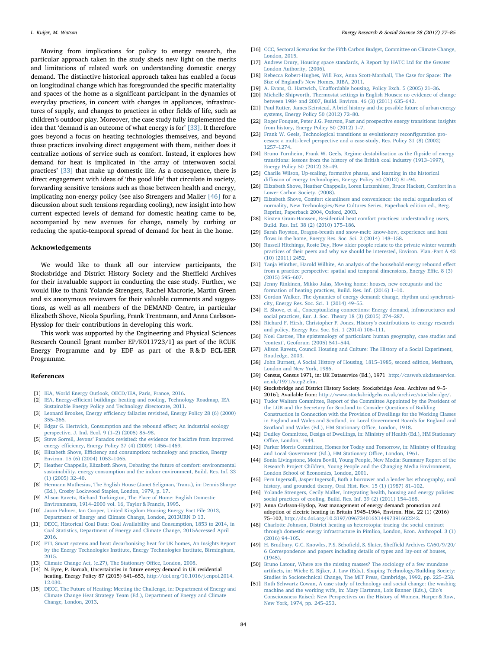Moving from implications for policy to energy research, the particular approach taken in the study sheds new light on the merits and limitations of related work on understanding domestic energy demand. The distinctive historical approach taken has enabled a focus on longitudinal change which has foregrounded the specific materiality and spaces of the home as a significant participant in the dynamics of everyday practices, in concert with changes in appliances, infrastructures of supply, and changes to practices in other fields of life, such as children's outdoor play. Moreover, the case study fully implemented the idea that 'demand is an outcome of what energy is for' [\[33\].](#page-7-23) It therefore goes beyond a focus on heating technologies themselves, and beyond those practices involving direct engagement with them, neither does it centralize notions of service such as comfort. Instead, it explores how demand for heat is implicated in 'the array of interwoven social practices' [\[33\]](#page-7-23) that make up domestic life. As a consequence, there is direct engagement with ideas of 'the good life' that circulate in society, forwarding sensitive tensions such as those between health and energy, implicating non-energy policy (see also Strengers and Maller [\[46\]](#page-7-34) for a discussion about such tensions regarding cooling), new insight into how current expected levels of demand for domestic heating came to be, accompanied by new avenues for change, namely by curbing or reducing the spatio-temporal spread of demand for heat in the home.

# Acknowledgements

We would like to thank all our interview participants, the Stocksbridge and District History Society and the Sheffield Archives for their invaluable support in conducting the case study. Further, we would like to thank Yolande Strengers, Rachel Macrorie, Martin Green and six anonymous reviewers for their valuable comments and suggestions, as well as all members of the DEMAND Centre, in particular Elizabeth Shove, Nicola Spurling, Frank Trentmann, and Anna Carlsson-Hysslop for their contributions in developing this work.

This work was supported by the Engineering and Physical Sciences Research Council [grant number EP/K011723/1] as part of the RCUK Energy Programme and by EDF as part of the R & D ECL-EER Programme.

# References

- <span id="page-7-0"></span>[1] [IEA, World Energy Outlook, OECD/IEA, Paris, France, 2016.](http://refhub.elsevier.com/S2214-6296(17)30104-4/sbref0005)
- <span id="page-7-1"></span>[2] IEA, Energy-effi[cient buildings: heating and cooling, Technology Roadmap, IEA](http://refhub.elsevier.com/S2214-6296(17)30104-4/sbref0010) [Sustainable Energy Policy and Technology directorate, 2011.](http://refhub.elsevier.com/S2214-6296(17)30104-4/sbref0010)
- <span id="page-7-2"></span>[3] Leonard Brookes, Energy effi[ciency fallacies revisited, Energy Policy 28 \(6\) \(2000\)](http://refhub.elsevier.com/S2214-6296(17)30104-4/sbref0015) 355–[366.](http://refhub.elsevier.com/S2214-6296(17)30104-4/sbref0015)
- [4] [Edgar G. Hertwich, Consumption and the rebound e](http://refhub.elsevier.com/S2214-6296(17)30104-4/sbref0020)ffect; An industrial ecology [perspective, J. Ind. Ecol. 9 \(1](http://refhub.elsevier.com/S2214-6296(17)30104-4/sbref0020)–2) (2005) 85–98.
- [5] Steve Sorrell, Jevons' [Paradox revisited: the evidence for back](http://refhub.elsevier.com/S2214-6296(17)30104-4/sbref0025)fire from improved energy effi[ciency, Energy Policy 37 \(4\) \(2009\) 1456](http://refhub.elsevier.com/S2214-6296(17)30104-4/sbref0025)–1469.
- <span id="page-7-3"></span>[6] Elizabeth Shove, Effi[ciency and consumption: technology and practice, Energy](http://refhub.elsevier.com/S2214-6296(17)30104-4/sbref0030) [Environ. 15 \(6\) \(2004\) 1053](http://refhub.elsevier.com/S2214-6296(17)30104-4/sbref0030)–1065.
- <span id="page-7-19"></span>[7] [Heather Chappells, Elizabeth Shove, Debating the future of comfort: environmental](http://refhub.elsevier.com/S2214-6296(17)30104-4/sbref0035) [sustainability, energy consumption and the indoor environment, Build. Res. Inf. 33](http://refhub.elsevier.com/S2214-6296(17)30104-4/sbref0035)  $(1)$   $(2005)$   $32-40$ .
- <span id="page-7-4"></span>[8] [Hermann Muthesius, The English House \(Janet Seligman, Trans.\), in: Dennis Sharpe](http://refhub.elsevier.com/S2214-6296(17)30104-4/sbref0040) [\(Ed.\), Crosby Lockwood Staples, London, 1979, p. 17.](http://refhub.elsevier.com/S2214-6296(17)30104-4/sbref0040)
- <span id="page-7-5"></span>[9] [Alison Ravetz, Richard Turkington, The Place of Home: English Domestic](http://refhub.elsevier.com/S2214-6296(17)30104-4/sbref0045) Environments, 1914–[2000 vol. 16, Taylor & Francis, 1995.](http://refhub.elsevier.com/S2214-6296(17)30104-4/sbref0045)
- <span id="page-7-6"></span>[10] [Jason Palmer, Ian Cooper, United Kingdom Housing Energy Fact File 2013,](http://refhub.elsevier.com/S2214-6296(17)30104-4/sbref0050) [Department of Energy and Climate Change, London, 2013URN D 13.](http://refhub.elsevier.com/S2214-6296(17)30104-4/sbref0050)
- <span id="page-7-7"></span>[11] [DECC, Historical Coal Data: Coal Availability and Consumption, 1853 to 2014, in](http://refhub.elsevier.com/S2214-6296(17)30104-4/sbref0055) [Coal Statistics, Department of Energy and Climate Change, 2015Accessed April](http://refhub.elsevier.com/S2214-6296(17)30104-4/sbref0055) [2016.](http://refhub.elsevier.com/S2214-6296(17)30104-4/sbref0055)
- <span id="page-7-8"></span>[12] [ETI, Smart systems and heat: decarbonising heat for UK homes, An Insights Report](http://refhub.elsevier.com/S2214-6296(17)30104-4/sbref0060) [by the Energy Technologies Institute, Energy Technologies Institute, Birmingham,](http://refhub.elsevier.com/S2214-6296(17)30104-4/sbref0060) [2015.](http://refhub.elsevier.com/S2214-6296(17)30104-4/sbref0060)
- <span id="page-7-9"></span>[13] [Climate Change Act, \(c.27\), The Stationary O](http://refhub.elsevier.com/S2214-6296(17)30104-4/sbref0065)ffice, London, 2008.
- <span id="page-7-10"></span>[14] N. Eyre, P. Baruah, Uncertainties in future energy demand in UK residential heating, Energy Policy 87 (2015) 641–653, [http://doi.org/10.1016/j.enpol.2014.](http://doi.org/10.1016/j.enpol.2014.12.030) [12.030.](http://doi.org/10.1016/j.enpol.2014.12.030)
- <span id="page-7-11"></span>[15] [DECC, The Future of Heating: Meeting the Challenge, in: Department of Energy and](http://refhub.elsevier.com/S2214-6296(17)30104-4/sbref0075) [Climate Change Heat Strategy Team \(Ed.\), Department of Energy and Climate](http://refhub.elsevier.com/S2214-6296(17)30104-4/sbref0075) [Change, London, 2013.](http://refhub.elsevier.com/S2214-6296(17)30104-4/sbref0075)
- <span id="page-7-12"></span>[16] [CCC, Sectoral Scenarios for the Fifth Carbon Budget, Committee on Climate Change,](http://refhub.elsevier.com/S2214-6296(17)30104-4/sbref0080) [London, 2015.](http://refhub.elsevier.com/S2214-6296(17)30104-4/sbref0080)
- <span id="page-7-13"></span>[17] [Andrew Drury, Housing space standards, A Report by HATC Ltd for the Greater](http://refhub.elsevier.com/S2214-6296(17)30104-4/sbref0085) [London Authority, \(2006\).](http://refhub.elsevier.com/S2214-6296(17)30104-4/sbref0085)
- [18] Rebecca [Robert-Hughes, Will Fox, Anna Scott-Marshall, The Case for Space: The](http://refhub.elsevier.com/S2214-6296(17)30104-4/sbref0090) Size of England'[s New Homes, RIBA, 2011.](http://refhub.elsevier.com/S2214-6296(17)30104-4/sbref0090)
- <span id="page-7-14"></span>[19] A. Evans, O. Hartwich, Unaff[ordable housing, Policy Exch. 5 \(2005\) 21](http://refhub.elsevier.com/S2214-6296(17)30104-4/sbref0095)–36.
- <span id="page-7-15"></span>[20] [Michelle Shipworth, Thermostat settings in English Houses: no evidence of change](http://refhub.elsevier.com/S2214-6296(17)30104-4/sbref0100) [between 1984 and 2007, Build. Environ. 46 \(3\) \(2011\) 635](http://refhub.elsevier.com/S2214-6296(17)30104-4/sbref0100)–642.
- <span id="page-7-16"></span>[21] [Paul Rutter, James Keirstead, A brief history and the possible future of urban energy](http://refhub.elsevier.com/S2214-6296(17)30104-4/sbref0105) [systems, Energy Policy 50 \(2012\) 72](http://refhub.elsevier.com/S2214-6296(17)30104-4/sbref0105)–80.
- [22] [Roger Fouquet, Peter J.G. Pearson, Past and prospective energy transitions: insights](http://refhub.elsevier.com/S2214-6296(17)30104-4/sbref0110) [from history, Energy Policy 50 \(2012\) 1](http://refhub.elsevier.com/S2214-6296(17)30104-4/sbref0110)–7.
- <span id="page-7-17"></span>[23] [Frank W. Geels, Technological transitions as evolutionary recon](http://refhub.elsevier.com/S2214-6296(17)30104-4/sbref0115)figuration pro[cesses: a multi-level perspective and a case-study, Res. Policy 31 \(8\) \(2002\)](http://refhub.elsevier.com/S2214-6296(17)30104-4/sbref0115) 1257–[1274.](http://refhub.elsevier.com/S2214-6296(17)30104-4/sbref0115)
- [24] [Bruno Turnheim, Frank W. Geels, Regime destabilisation as the](http://refhub.elsevier.com/S2214-6296(17)30104-4/sbref0120) flipside of energy [transitions: lessons from the history of the British coal industry \(1913](http://refhub.elsevier.com/S2214-6296(17)30104-4/sbref0120)–1997), [Energy Policy 50 \(2012\) 35](http://refhub.elsevier.com/S2214-6296(17)30104-4/sbref0120)–49.
- <span id="page-7-18"></span>[25] [Charlie Wilson, Up-scaling, formative phases, and learning in the historical](http://refhub.elsevier.com/S2214-6296(17)30104-4/sbref0125) diff[usion of energy technologies, Energy Policy 50 \(2012\) 81](http://refhub.elsevier.com/S2214-6296(17)30104-4/sbref0125)–94.
- [26] [Elizabeth Shove, Heather Chappells, Loren Lutzenhiser, Bruce Hackett, Comfort in a](http://refhub.elsevier.com/S2214-6296(17)30104-4/sbref0130) [Lower Carbon Society, \(2008\).](http://refhub.elsevier.com/S2214-6296(17)30104-4/sbref0130)
- [27] [Elizabeth Shove, Comfort cleanliness and convenience: the social organisation of](http://refhub.elsevier.com/S2214-6296(17)30104-4/sbref0135) [normality, New Technologies/New Cultures Series, Paperback edition ed., Berg.](http://refhub.elsevier.com/S2214-6296(17)30104-4/sbref0135) [Reprint, Paperback 2004, Oxford, 2003.](http://refhub.elsevier.com/S2214-6296(17)30104-4/sbref0135)
- <span id="page-7-20"></span>[28] [Kirsten Gram-Hanssen, Residential heat comfort practices: understanding users,](http://refhub.elsevier.com/S2214-6296(17)30104-4/sbref0140) [Build. Res. Inf. 38 \(2\) \(2010\) 175](http://refhub.elsevier.com/S2214-6296(17)30104-4/sbref0140)–186.
- [29] [Sarah Royston, Dragon-breath and snow-melt: know-how, experience and heat](http://refhub.elsevier.com/S2214-6296(17)30104-4/sbref0145) fl[ows in the home, Energy Res. Soc. Sci. 2 \(2014\) 148](http://refhub.elsevier.com/S2214-6296(17)30104-4/sbref0145)–158.
- [30] [Russell Hitchings, Rosie Day, How older people relate to the private winter warmth](http://refhub.elsevier.com/S2214-6296(17)30104-4/sbref0150) [practices of their peers and why we should be interested, Environ. Plan.-Part A 43](http://refhub.elsevier.com/S2214-6296(17)30104-4/sbref0150) [\(10\) \(2011\) 2452.](http://refhub.elsevier.com/S2214-6296(17)30104-4/sbref0150)
- <span id="page-7-21"></span>[31] [Tanja Winther, Harold Wilhite, An analysis of the household energy rebound e](http://refhub.elsevier.com/S2214-6296(17)30104-4/sbref0155)ffect [from a practice perspective: spatial and temporal dimensions, Energy E](http://refhub.elsevier.com/S2214-6296(17)30104-4/sbref0155)ffic. 8 (3) [\(2015\) 595](http://refhub.elsevier.com/S2214-6296(17)30104-4/sbref0155)–607.
- <span id="page-7-22"></span>[32] [Jenny Rinkinen, Mikko Jalas, Moving home: houses, new occupants and the](http://refhub.elsevier.com/S2214-6296(17)30104-4/sbref0160) [formation of heating practices, Build. Res. Inf. \(2016\) 1](http://refhub.elsevier.com/S2214-6296(17)30104-4/sbref0160)–10.
- <span id="page-7-23"></span>[33] Gordon [Walker, The dynamics of energy demand: change, rhythm and synchroni](http://refhub.elsevier.com/S2214-6296(17)30104-4/sbref0165)[city, Energy Res. Soc. Sci. 1 \(2014\) 49](http://refhub.elsevier.com/S2214-6296(17)30104-4/sbref0165)–55.
- <span id="page-7-24"></span>[34] [E. Shove, et al., Conceptualizing connections: Energy demand, infrastructures and](http://refhub.elsevier.com/S2214-6296(17)30104-4/sbref0170) [social practices, Eur. J. Soc. Theory 18 \(3\) \(2015\) 274](http://refhub.elsevier.com/S2214-6296(17)30104-4/sbref0170)–287.
- <span id="page-7-25"></span>[35] [Richard F. Hirsh, Christopher F. Jones, History](http://refhub.elsevier.com/S2214-6296(17)30104-4/sbref0175)'s contributions to energy research [and policy, Energy Res. Soc. Sci. 1 \(2014\) 106](http://refhub.elsevier.com/S2214-6296(17)30104-4/sbref0175)–111.
- <span id="page-7-26"></span>[36] [Noel Castree, The epistemology of particulars: human geography, case studies and](http://refhub.elsevier.com/S2214-6296(17)30104-4/sbref0180) 'context'[, Geoforum \(2005\) 541](http://refhub.elsevier.com/S2214-6296(17)30104-4/sbref0180)–544.
- <span id="page-7-27"></span>[37] [Alison Ravetz, Council Housing and Culture: The History of a Social Experiment,](http://refhub.elsevier.com/S2214-6296(17)30104-4/sbref0185) [Routledge, 2003.](http://refhub.elsevier.com/S2214-6296(17)30104-4/sbref0185)
- <span id="page-7-28"></span>[38] [John Burnett, A Social History of Housing, 1815](http://refhub.elsevier.com/S2214-6296(17)30104-4/sbref0190)–1985, second edition, Methuen, [London and New York, 1986.](http://refhub.elsevier.com/S2214-6296(17)30104-4/sbref0190)
- <span id="page-7-29"></span>[39] Census, Census 1971, in: UK Dataservice (Ed.), 1971 [http://casweb.ukdataservice.](http://casweb.ukdataservice.ac.uk/1971/step2.cfm) [ac.uk/1971/step2.cfm](http://casweb.ukdataservice.ac.uk/1971/step2.cfm).
- [40] Stocksbridge and District History Society. Stocksbridge Area. Archives nd 9–5- 2016]; Available from: <http://www.stocksbridgehs.co.uk/archive/stocksbridge/>.
- <span id="page-7-30"></span>[41] [Tudor Walters Committee, Report of the Committee Appointed by the President of](http://refhub.elsevier.com/S2214-6296(17)30104-4/sbref0205) [the LGB and the Secretary for Scotland to Consider Questions of Building](http://refhub.elsevier.com/S2214-6296(17)30104-4/sbref0205) [Construction in Connection with the Provision of Dwellings for the Working Classes](http://refhub.elsevier.com/S2214-6296(17)30104-4/sbref0205) [in England and Wales and Scotland, in: Local Government Boards for England and](http://refhub.elsevier.com/S2214-6296(17)30104-4/sbref0205) [Scotland and Wales \(Ed.\), HM Stationary O](http://refhub.elsevier.com/S2214-6296(17)30104-4/sbref0205)ffice, London, 1918.
- <span id="page-7-31"></span>[42] [Dudley Committee, Design of Dwellings, in: Ministry of Health \(Ed.\), HM Stationary](http://refhub.elsevier.com/S2214-6296(17)30104-4/sbref0210) Offi[ce, London, 1944.](http://refhub.elsevier.com/S2214-6296(17)30104-4/sbref0210)
- <span id="page-7-32"></span>[43] [Parker Morris Committee, Homes for Today and Tomorrow, in: Ministry of Housing](http://refhub.elsevier.com/S2214-6296(17)30104-4/sbref0215) [and Local Government \(Ed.\), HM Stationary O](http://refhub.elsevier.com/S2214-6296(17)30104-4/sbref0215)ffice, London, 1961.
- <span id="page-7-38"></span>[44] [Sonia Livingstone, Moira Bovill, Young People, New Media: Summary Report of the](http://refhub.elsevier.com/S2214-6296(17)30104-4/sbref0220) [Research Project Children, Young People and the Changing Media Environment,](http://refhub.elsevier.com/S2214-6296(17)30104-4/sbref0220) [London School of Economics, London, 2001.](http://refhub.elsevier.com/S2214-6296(17)30104-4/sbref0220)
- <span id="page-7-33"></span>[45] [Fern Ingersoll, Jasper Ingersoll, Both a borrower and a lender be: ethnography, oral](http://refhub.elsevier.com/S2214-6296(17)30104-4/sbref0225) [history, and grounded theory, Oral Hist. Rev. 15 \(1\) \(1987\) 81](http://refhub.elsevier.com/S2214-6296(17)30104-4/sbref0225)–102.
- <span id="page-7-34"></span>[46] [Yolande Strengers, Cecily Maller, Integrating health, housing and energy policies:](http://refhub.elsevier.com/S2214-6296(17)30104-4/sbref0230) [social practices of cooling, Build. Res. Inf. 39 \(2\) \(2011\) 154](http://refhub.elsevier.com/S2214-6296(17)30104-4/sbref0230)–168.
- [47] Anna Carlsson-Hyslop, Past management of energy demand: promotion and adoption of electric heating in Britain 1945–1964, Environ. Hist. 22 (1) (2016) 75–102, [http://dx.doi.org/10.3197/096734016X14497391602242.](http://dx.doi.org/10.3197/096734016X14497391602242)
- [48] [Charlotte Johnson, District heating as heterotopia: tracing the social contract](http://refhub.elsevier.com/S2214-6296(17)30104-4/sbref0240) [through domestic energy infrastructure in Pimlico, London, Econ. Anthropol. 3 \(1\)](http://refhub.elsevier.com/S2214-6296(17)30104-4/sbref0240) [\(2016\) 94](http://refhub.elsevier.com/S2214-6296(17)30104-4/sbref0240)–105.
- <span id="page-7-35"></span>[49] H. [Bradbury, G.C. Knowles, P.S. Scho](http://refhub.elsevier.com/S2214-6296(17)30104-4/sbref0245)field, S. Slater, Sheffield Archives CA60/9/20/ [6 Correspondence and papers including details of types and lay-out of houses,](http://refhub.elsevier.com/S2214-6296(17)30104-4/sbref0245) [\(1945\).](http://refhub.elsevier.com/S2214-6296(17)30104-4/sbref0245)
- <span id="page-7-36"></span>[50] [Bruno Latour, Where are the missing masses? The sociology of a few mundane](http://refhub.elsevier.com/S2214-6296(17)30104-4/sbref0250) [artifacts, in: Wiebe E. Bijker, J. Law \(Eds.\), Shaping Technology/Building Society:](http://refhub.elsevier.com/S2214-6296(17)30104-4/sbref0250) [Studies in Sociotechnical Change, The MIT Press, Cambridge, 1992, pp. 225](http://refhub.elsevier.com/S2214-6296(17)30104-4/sbref0250)–258.
- <span id="page-7-37"></span>[51] [Ruth Schwartz Cowan, A case study of technology and social change: the washing](http://refhub.elsevier.com/S2214-6296(17)30104-4/sbref0255) [machine and the working wife, in: Mary Hartman, Lois Banner \(Eds.\), Clio](http://refhub.elsevier.com/S2214-6296(17)30104-4/sbref0255)'s [Consciousness Raised: New Perspectives on the History of Women, Harper & Row,](http://refhub.elsevier.com/S2214-6296(17)30104-4/sbref0255) [New York, 1974, pp. 245](http://refhub.elsevier.com/S2214-6296(17)30104-4/sbref0255)–253.